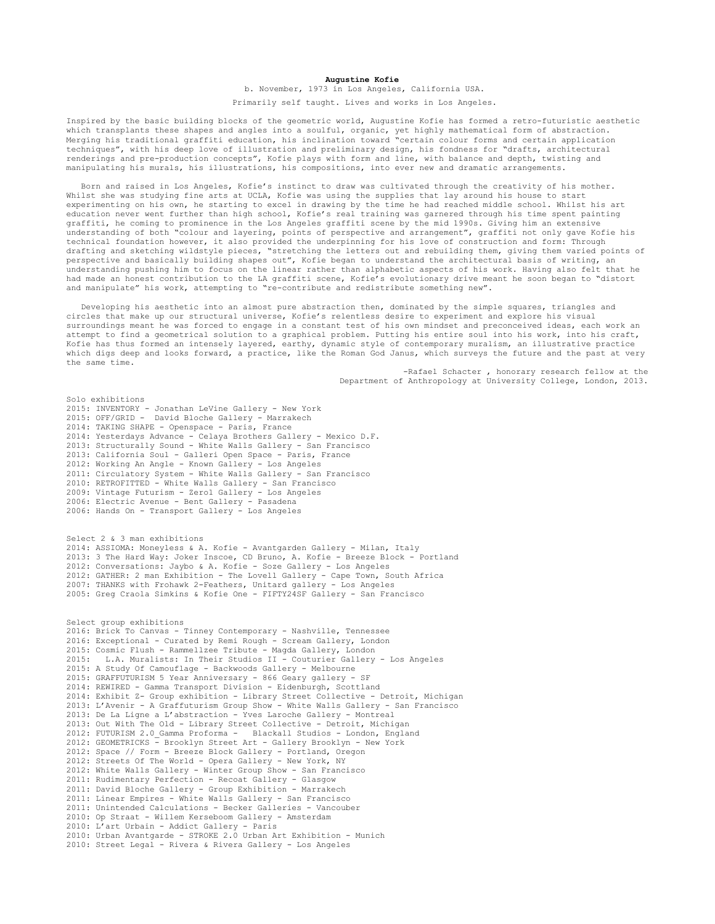## **Augustine Kofie**

b. November, 1973 in Los Angeles, California USA.

Primarily self taught. Lives and works in Los Angeles.

Inspired by the basic building blocks of the geometric world, Augustine Kofie has formed a retro-futuristic aesthetic which transplants these shapes and angles into a soulful, organic, yet highly mathematical form of abstraction. Merging his traditional graffiti education, his inclination toward "certain colour forms and certain application techniques", with his deep love of illustration and preliminary design, his fondness for "drafts, architectural renderings and pre-production concepts", Kofie plays with form and line, with balance and depth, twisting and manipulating his murals, his illustrations, his compositions, into ever new and dramatic arrangements.

 Born and raised in Los Angeles, Kofie's instinct to draw was cultivated through the creativity of his mother. Whilst she was studying fine arts at UCLA, Kofie was using the supplies that lay around his house to start experimenting on his own, he starting to excel in drawing by the time he had reached middle school. Whilst his art education never went further than high school, Kofie's real training was garnered through his time spent painting graffiti, he coming to prominence in the Los Angeles graffiti scene by the mid 1990s. Giving him an extensive understanding of both "colour and layering, points of perspective and arrangement", graffiti not only gave Kofie his technical foundation however, it also provided the underpinning for his love of construction and form: Through drafting and sketching wildstyle pieces, "stretching the letters out and rebuilding them, giving them varied points of perspective and basically building shapes out", Kofie began to understand the architectural basis of writing, an understanding pushing him to focus on the linear rather than alphabetic aspects of his work. Having also felt that he had made an honest contribution to the LA graffiti scene, Kofie's evolutionary drive meant he soon began to "distort and manipulate" his work, attempting to "re-contribute and redistribute something new".

 Developing his aesthetic into an almost pure abstraction then, dominated by the simple squares, triangles and circles that make up our structural universe, Kofie's relentless desire to experiment and explore his visual surroundings meant he was forced to engage in a constant test of his own mindset and preconceived ideas, each work an attempt to find a geometrical solution to a graphical problem. Putting his entire soul into his work, into his craft, Kofie has thus formed an intensely layered, earthy, dynamic style of contemporary muralism, an illustrative practice which digs deep and looks forward, a practice, like the Roman God Janus, which surveys the future and the past at very the same time.

> -Rafael Schacter , honorary research fellow at the Department of Anthropology at University College, London, 2013.

Solo exhibitions 2015: INVENTORY - Jonathan LeVine Gallery - New York 2015: OFF/GRID - David Bloche Gallery - Marrakech 2014: TAKING SHAPE - Openspace - Paris, France 2014: Yesterdays Advance - Celaya Brothers Gallery - Mexico D.F. 2013: Structurally Sound - White Walls Gallery - San Francisco 2013: California Soul - Galleri Open Space - Paris, France 2012: Working An Angle - Known Gallery - Los Angeles 2011: Circulatory System - White Walls Gallery - San Francisco 2010: RETROFITTED - White Walls Gallery - San Francisco 2009: Vintage Futurism - Zero1 Gallery - Los Angeles 2006: Electric Avenue - Bent Gallery - Pasadena 2006: Hands On - Transport Gallery - Los Angeles Select 2 & 3 man exhibitions 2014: ASSIOMA: Moneyless & A. Kofie - Avantgarden Gallery - Milan, Italy 2013: 3 The Hard Way: Joker Inscoe, CD Bruno, A. Kofie - Breeze Block - Portland 2012: Conversations: Jaybo & A. Kofie - Soze Gallery - Los Angeles 2012: GATHER: 2 man Exhibition - The Lovell Gallery - Cape Town, South Africa 2007: THANKS with Frohawk 2-Feathers, Unitard gallery - Los Angeles 2005: Greg Craola Simkins & Kofie One - FIFTY24SF Gallery - San Francisco Select group exhibitions 2016: Brick To Canvas - Tinney Contemporary - Nashville, Tennessee 2016: Exceptional - Curated by Remi Rough - Scream Gallery, London 2015: Cosmic Flush - Rammellzee Tribute - Magda Gallery, London 2015: L.A. Muralists: In Their Studios II - Couturier Gallery - Los Angeles 2015: A Study Of Camouflage - Backwoods Gallery - Melbourne 2015: GRAFFUTURISM 5 Year Anniversary - 866 Geary gallery - SF 2014: REWIRED - Gamma Transport Division - Eidenburgh, Scottland 2014: Exhibit Z- Group exhibition - Library Street Collective - Detroit, Michigan 2013: L'Avenir - A Graffuturism Group Show - White Walls Gallery - San Francisco 2013: De La Ligne a L'abstraction - Yves Laroche Gallery - Montreal 2013: Out With The Old - Library Street Collective - Detroit, Michigan 2012: FUTURISM 2.0\_Gamma Proforma - Blackall Studios - London, England 2012: GEOMETRICKS - Brooklyn Street Art - Gallery Brooklyn - New York 2012: Space // Form - Breeze Block Gallery - Portland, Oregon 2012: Streets Of The World - Opera Gallery - New York, NY 2012: White Walls Gallery - Winter Group Show - San Francisco 2011: Rudimentary Perfection - Recoat Gallery - Glasgow 2011: David Bloche Gallery - Group Exhibition - Marrakech 2011: Linear Empires - White Walls Gallery - San Francisco 2011: Unintended Calculations - Becker Galleries - Vancouber 2010: Op Straat - Willem Kerseboom Gallery - Amsterdam 2010: L'art Urbain - Addict Gallery - Paris 2010: Urban Avantgarde - STROKE 2.0 Urban Art Exhibition - Munich 2010: Street Legal - Rivera & Rivera Gallery - Los Angeles